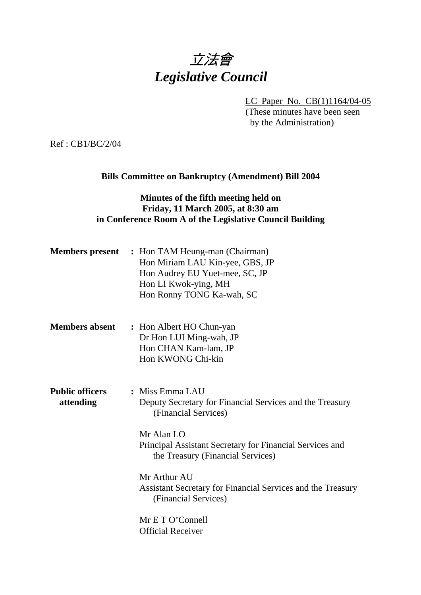## 立法會 *Legislative Council*

LC Paper No. CB(1)1164/04-05

(These minutes have been seen by the Administration)

Ref : CB1/BC/2/04

## **Bills Committee on Bankruptcy (Amendment) Bill 2004**

## **Minutes of the fifth meeting held on Friday, 11 March 2005, at 8:30 am in Conference Room A of the Legislative Council Building**

| <b>Members</b> present              | : Hon TAM Heung-man (Chairman)<br>Hon Miriam LAU Kin-yee, GBS, JP<br>Hon Audrey EU Yuet-mee, SC, JP<br>Hon LI Kwok-ying, MH<br>Hon Ronny TONG Ka-wah, SC                                                                                                                                                                                                                  |
|-------------------------------------|---------------------------------------------------------------------------------------------------------------------------------------------------------------------------------------------------------------------------------------------------------------------------------------------------------------------------------------------------------------------------|
| <b>Members absent</b>               | : Hon Albert HO Chun-yan<br>Dr Hon LUI Ming-wah, JP<br>Hon CHAN Kam-lam, JP<br>Hon KWONG Chi-kin                                                                                                                                                                                                                                                                          |
| <b>Public officers</b><br>attending | : Miss Emma LAU<br>Deputy Secretary for Financial Services and the Treasury<br>(Financial Services)<br>Mr Alan LO<br>Principal Assistant Secretary for Financial Services and<br>the Treasury (Financial Services)<br>Mr Arthur AU<br>Assistant Secretary for Financial Services and the Treasury<br>(Financial Services)<br>Mr E T O'Connell<br><b>Official Receiver</b> |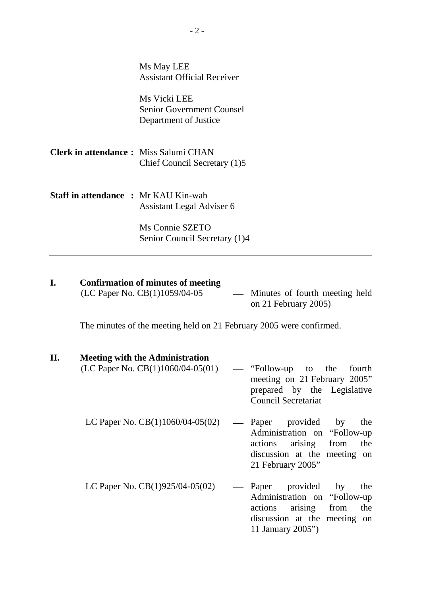|                                              | Ms May LEE                                                                |
|----------------------------------------------|---------------------------------------------------------------------------|
|                                              | <b>Assistant Official Receiver</b>                                        |
|                                              | Ms Vicki LEE<br><b>Senior Government Counsel</b><br>Department of Justice |
| <b>Clerk in attendance:</b> Miss Salumi CHAN | Chief Council Secretary (1)5                                              |
| <b>Staff in attendance : Mr KAU Kin-wah</b>  | Assistant Legal Adviser 6                                                 |
|                                              | Ms Connie SZETO<br>Senior Council Secretary (1)4                          |

# **I.** Confirmation of minutes of meeting (LC Paper No. CB(1)1059/04-05

- Minutes of fourth meeting held on 21 February 2005)

11 January 2005")

The minutes of the meeting held on 21 February 2005 were confirmed.

## **II. Meeting with the Administration**

| (LC Paper No. $CB(1)1060/04-05(01)$ |                   | — "Follow-up to the<br>fourth<br>meeting on 21 February 2005"<br>prepared by the Legislative<br><b>Council Secretariat</b>                    |
|-------------------------------------|-------------------|-----------------------------------------------------------------------------------------------------------------------------------------------|
| LC Paper No. $CB(1)1060/04-05(02)$  | $\hspace{0.05cm}$ | Paper provided by<br>the<br>Administration on "Follow-up"<br>actions arising from<br>the<br>discussion at the meeting on<br>21 February 2005" |
| LC Paper No. $CB(1)925/04-05(02)$   |                   | provided by<br>— Paper<br>the<br>Administration on "Follow-up"<br>actions arising from<br>the<br>discussion at the meeting on                 |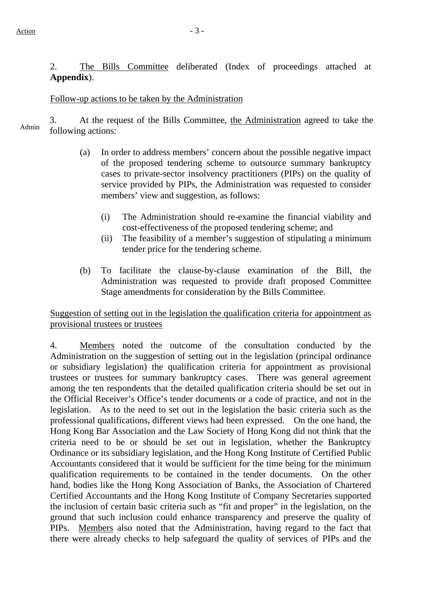2. The Bills Committee deliberated (Index of proceedings attached at **Appendix**).

### Follow-up actions to be taken by the Administration

3. At the request of the Bills Committee, the Administration agreed to take the Admin following actions:

- (a) In order to address members' concern about the possible negative impact of the proposed tendering scheme to outsource summary bankruptcy cases to private-sector insolvency practitioners (PIPs) on the quality of service provided by PIPs, the Administration was requested to consider members' view and suggestion, as follows:
	- (i) The Administration should re-examine the financial viability and cost-effectiveness of the proposed tendering scheme; and
	- (ii) The feasibility of a member's suggestion of stipulating a minimum tender price for the tendering scheme.
- (b) To facilitate the clause-by-clause examination of the Bill, the Administration was requested to provide draft proposed Committee Stage amendments for consideration by the Bills Committee.

## Suggestion of setting out in the legislation the qualification criteria for appointment as provisional trustees or trustees

4. Members noted the outcome of the consultation conducted by the Administration on the suggestion of setting out in the legislation (principal ordinance or subsidiary legislation) the qualification criteria for appointment as provisional trustees or trustees for summary bankruptcy cases. There was general agreement among the ten respondents that the detailed qualification criteria should be set out in the Official Receiver's Office's tender documents or a code of practice, and not in the legislation. As to the need to set out in the legislation the basic criteria such as the professional qualifications, different views had been expressed. On the one hand, the Hong Kong Bar Association and the Law Society of Hong Kong did not think that the criteria need to be or should be set out in legislation, whether the Bankruptcy Ordinance or its subsidiary legislation, and the Hong Kong Institute of Certified Public Accountants considered that it would be sufficient for the time being for the minimum qualification requirements to be contained in the tender documents. On the other hand, bodies like the Hong Kong Association of Banks, the Association of Chartered Certified Accountants and the Hong Kong Institute of Company Secretaries supported the inclusion of certain basic criteria such as "fit and proper" in the legislation, on the ground that such inclusion could enhance transparency and preserve the quality of PIPs. Members also noted that the Administration, having regard to the fact that there were already checks to help safeguard the quality of services of PIPs and the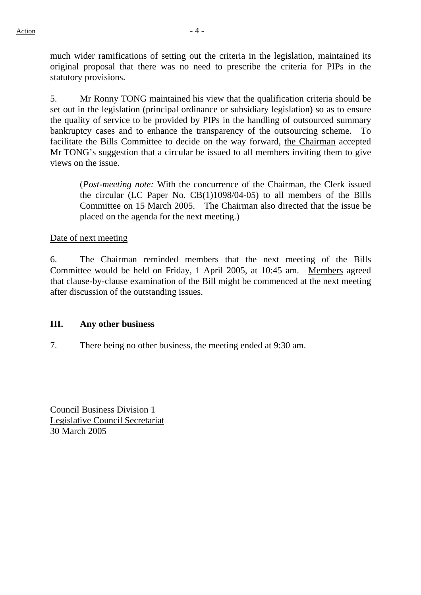much wider ramifications of setting out the criteria in the legislation, maintained its original proposal that there was no need to prescribe the criteria for PIPs in the statutory provisions.

5. Mr Ronny TONG maintained his view that the qualification criteria should be set out in the legislation (principal ordinance or subsidiary legislation) so as to ensure the quality of service to be provided by PIPs in the handling of outsourced summary bankruptcy cases and to enhance the transparency of the outsourcing scheme. To facilitate the Bills Committee to decide on the way forward, the Chairman accepted Mr TONG's suggestion that a circular be issued to all members inviting them to give views on the issue.

(*Post-meeting note:* With the concurrence of the Chairman, the Clerk issued the circular (LC Paper No. CB(1)1098/04-05) to all members of the Bills Committee on 15 March 2005. The Chairman also directed that the issue be placed on the agenda for the next meeting.)

Date of next meeting

6. The Chairman reminded members that the next meeting of the Bills Committee would be held on Friday, 1 April 2005, at 10:45 am. Members agreed that clause-by-clause examination of the Bill might be commenced at the next meeting after discussion of the outstanding issues.

### **III. Any other business**

7. There being no other business, the meeting ended at 9:30 am.

Council Business Division 1 Legislative Council Secretariat 30 March 2005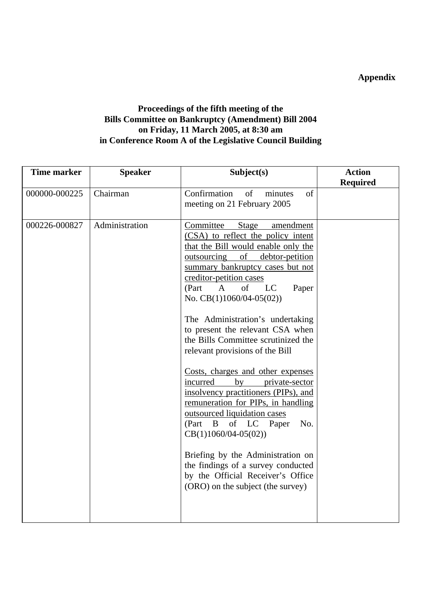**Appendix** 

## **Proceedings of the fifth meeting of the Bills Committee on Bankruptcy (Amendment) Bill 2004 on Friday, 11 March 2005, at 8:30 am in Conference Room A of the Legislative Council Building**

| <b>Time marker</b> | <b>Speaker</b> | Subject(s)                                                                                                                                                                                                                                                                                                                                                                                                                                                                                                                                                                                                                                                                                                                                                                                                                                                  | <b>Action</b>   |
|--------------------|----------------|-------------------------------------------------------------------------------------------------------------------------------------------------------------------------------------------------------------------------------------------------------------------------------------------------------------------------------------------------------------------------------------------------------------------------------------------------------------------------------------------------------------------------------------------------------------------------------------------------------------------------------------------------------------------------------------------------------------------------------------------------------------------------------------------------------------------------------------------------------------|-----------------|
|                    |                |                                                                                                                                                                                                                                                                                                                                                                                                                                                                                                                                                                                                                                                                                                                                                                                                                                                             | <b>Required</b> |
| 000000-000225      | Chairman       | Confirmation<br>of<br>of<br>minutes<br>meeting on 21 February 2005                                                                                                                                                                                                                                                                                                                                                                                                                                                                                                                                                                                                                                                                                                                                                                                          |                 |
| 000226-000827      | Administration | Committee<br>Stage<br>amendment<br>(CSA) to reflect the policy intent<br>that the Bill would enable only the<br>of debtor-petition<br>outsourcing<br>summary bankruptcy cases but not<br>creditor-petition cases<br>of<br>$\mathbf{A}$<br>LC<br>(Part<br>Paper<br>No. $CB(1)1060/04-05(02))$<br>The Administration's undertaking<br>to present the relevant CSA when<br>the Bills Committee scrutinized the<br>relevant provisions of the Bill<br>Costs, charges and other expenses<br>incurred<br>by<br>private-sector<br>insolvency practitioners (PIPs), and<br>remuneration for PIPs, in handling<br>outsourced liquidation cases<br>of LC<br>(Part<br>B<br>No.<br>Paper<br>$CB(1)1060/04-05(02))$<br>Briefing by the Administration on<br>the findings of a survey conducted<br>by the Official Receiver's Office<br>(ORO) on the subject (the survey) |                 |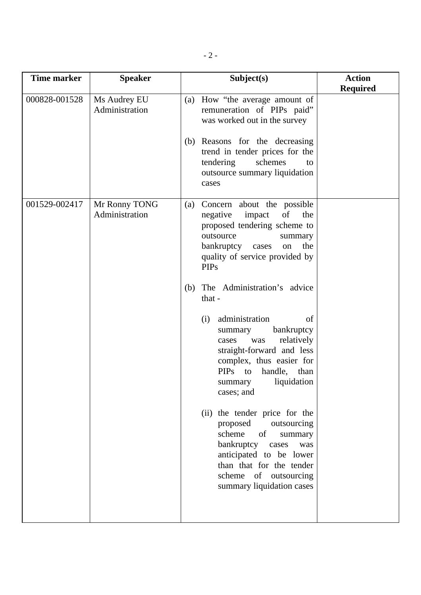| <b>Time marker</b> | <b>Speaker</b>                  | Subject(s)                                                                                                                                                                                                                     | <b>Action</b><br><b>Required</b> |
|--------------------|---------------------------------|--------------------------------------------------------------------------------------------------------------------------------------------------------------------------------------------------------------------------------|----------------------------------|
| 000828-001528      | Ms Audrey EU<br>Administration  | (a) How "the average amount of<br>remuneration of PIPs paid"<br>was worked out in the survey<br>(b) Reasons for the decreasing                                                                                                 |                                  |
|                    |                                 | trend in tender prices for the<br>tendering<br>schemes<br>to<br>outsource summary liquidation<br>cases                                                                                                                         |                                  |
| 001529-002417      | Mr Ronny TONG<br>Administration | Concern about the possible<br>(a)<br>of<br>negative<br>impact<br>the<br>proposed tendering scheme to<br>outsource<br>summary<br>bankruptcy cases<br>the<br>on<br>quality of service provided by<br><b>PIPs</b>                 |                                  |
|                    |                                 | The Administration's advice<br>(b)<br>that -                                                                                                                                                                                   |                                  |
|                    |                                 | administration<br>(i)<br>of<br>bankruptcy<br>summary<br>relatively<br>was<br>cases<br>straight-forward and less<br>complex, thus easier for<br>PIPs to<br>handle, than<br>liquidation<br>summary<br>cases; and                 |                                  |
|                    |                                 | (ii) the tender price for the<br>proposed<br>outsourcing<br>scheme<br>of<br>summary<br>bankruptcy<br>cases<br>was<br>anticipated to be lower<br>than that for the tender<br>scheme of outsourcing<br>summary liquidation cases |                                  |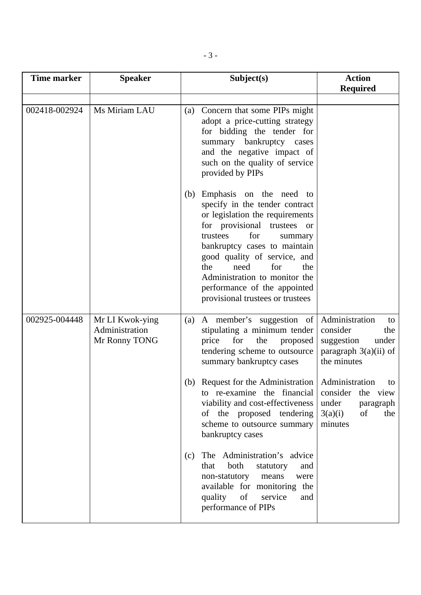| <b>Time marker</b> | <b>Speaker</b>                                     | Subject(s)                                                                                                                                                                                                                                                                                                                                                                       | <b>Action</b>                                                                                            |
|--------------------|----------------------------------------------------|----------------------------------------------------------------------------------------------------------------------------------------------------------------------------------------------------------------------------------------------------------------------------------------------------------------------------------------------------------------------------------|----------------------------------------------------------------------------------------------------------|
|                    |                                                    |                                                                                                                                                                                                                                                                                                                                                                                  | <b>Required</b>                                                                                          |
| 002418-002924      | Ms Miriam LAU                                      | (a) Concern that some PIPs might<br>adopt a price-cutting strategy<br>for bidding the tender for<br>summary bankruptcy cases<br>and the negative impact of<br>such on the quality of service<br>provided by PIPs                                                                                                                                                                 |                                                                                                          |
|                    |                                                    | Emphasis on the need to<br>(b)<br>specify in the tender contract<br>or legislation the requirements<br>for provisional trustees<br><sub>or</sub><br>for<br>trustees<br>summary<br>bankruptcy cases to maintain<br>good quality of service, and<br>need<br>for<br>the<br>the<br>Administration to monitor the<br>performance of the appointed<br>provisional trustees or trustees |                                                                                                          |
| 002925-004448      | Mr LI Kwok-ying<br>Administration<br>Mr Ronny TONG | A member's suggestion of<br>(a)<br>stipulating a minimum tender<br>the<br>price<br>proposed<br>for<br>tendering scheme to outsource<br>summary bankruptcy cases                                                                                                                                                                                                                  | Administration<br>to<br>consider<br>the<br>suggestion<br>under<br>paragraph $3(a)(ii)$ of<br>the minutes |
|                    |                                                    | (b) Request for the Administration<br>to re-examine the financial<br>viability and cost-effectiveness<br>of the proposed tendering<br>scheme to outsource summary<br>bankruptcy cases                                                                                                                                                                                            | Administration<br>to<br>consider<br>the view<br>under<br>paragraph<br>3(a)(i)<br>of<br>the<br>minutes    |
|                    |                                                    | The Administration's advice<br>(c)<br>both<br>that<br>statutory<br>and<br>non-statutory<br>means<br>were<br>available for monitoring the<br>of<br>quality<br>service<br>and<br>performance of PIPs                                                                                                                                                                               |                                                                                                          |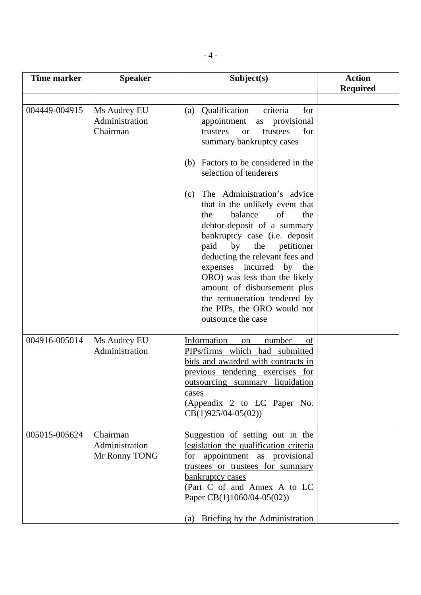| <b>Time marker</b> | <b>Speaker</b>                              | Subject(s)                                                                                                                                                                                                                                                                                                                                                                                                                           | <b>Action</b>   |
|--------------------|---------------------------------------------|--------------------------------------------------------------------------------------------------------------------------------------------------------------------------------------------------------------------------------------------------------------------------------------------------------------------------------------------------------------------------------------------------------------------------------------|-----------------|
|                    |                                             |                                                                                                                                                                                                                                                                                                                                                                                                                                      | <b>Required</b> |
| 004449-004915      | Ms Audrey EU<br>Administration<br>Chairman  | Qualification<br>criteria<br>for<br>(a)<br>appointment<br>provisional<br>as<br>for<br>trustees<br>trustees<br><b>or</b><br>summary bankruptcy cases                                                                                                                                                                                                                                                                                  |                 |
|                    |                                             | Factors to be considered in the<br>(b)<br>selection of tenderers                                                                                                                                                                                                                                                                                                                                                                     |                 |
|                    |                                             | The Administration's advice<br>(c)<br>that in the unlikely event that<br>balance<br>of<br>the<br>the<br>debtor-deposit of a summary<br>bankruptcy case (i.e. deposit<br>by<br>paid<br>the<br>petitioner<br>deducting the relevant fees and<br>incurred<br>expenses<br>by<br>the<br>ORO) was less than the likely<br>amount of disbursement plus<br>the remuneration tendered by<br>the PIPs, the ORO would not<br>outsource the case |                 |
| 004916-005014      | Ms Audrey EU<br>Administration              | Information<br>number<br>on<br>of<br>PIPs/firms which had submitted<br>bids and awarded with contracts in<br>previous tendering exercises for<br><u>outsourcing summary liquidation</u><br>cases<br>(Appendix 2 to LC Paper No.<br>$CB(1)925/04-05(02))$                                                                                                                                                                             |                 |
| 005015-005624      | Chairman<br>Administration<br>Mr Ronny TONG | Suggestion of setting out in the<br>legislation the qualification criteria<br>for appointment as provisional<br>trustees or trustees for summary<br>bankruptcy cases<br>(Part C of and Annex A to LC<br>Paper CB(1)1060/04-05(02))<br>Briefing by the Administration<br>(a)                                                                                                                                                          |                 |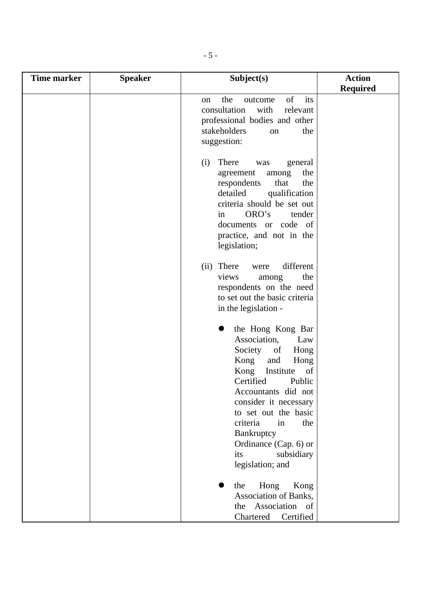| <b>Time marker</b> | <b>Speaker</b> | Subject(s)                                                                                                                                                                                                                                                                                                               | <b>Action</b>   |
|--------------------|----------------|--------------------------------------------------------------------------------------------------------------------------------------------------------------------------------------------------------------------------------------------------------------------------------------------------------------------------|-----------------|
|                    |                |                                                                                                                                                                                                                                                                                                                          | <b>Required</b> |
|                    |                | of<br>its<br>the<br>outcome<br>on<br>consultation<br>with<br>relevant<br>professional bodies and other<br>stakeholders<br>the<br>on<br>suggestion:                                                                                                                                                                       |                 |
|                    |                | There<br>(i)<br>general<br>was<br>the<br>agreement<br>among<br>respondents<br>that<br>the<br>detailed<br>qualification<br>criteria should be set out<br>ORO's<br>in<br>tender<br>documents or code of<br>practice, and not in the<br>legislation;                                                                        |                 |
|                    |                | different<br>(ii) There<br>were<br>the<br>views<br>among<br>respondents on the need<br>to set out the basic criteria<br>in the legislation -                                                                                                                                                                             |                 |
|                    |                | the Hong Kong Bar<br>Association,<br>Law<br>Society of<br>Hong<br>Kong<br>and<br>Hong<br>Kong<br>Institute<br>of<br>Certified<br>Public<br>Accountants did not<br>consider it necessary<br>to set out the basic<br>criteria<br>in<br>the<br>Bankruptcy<br>Ordinance (Cap. 6) or<br>its<br>subsidiary<br>legislation; and |                 |
|                    |                | the<br>Hong<br>Kong<br>Association of Banks,<br>Association of<br>the<br>Certified<br>Chartered                                                                                                                                                                                                                          |                 |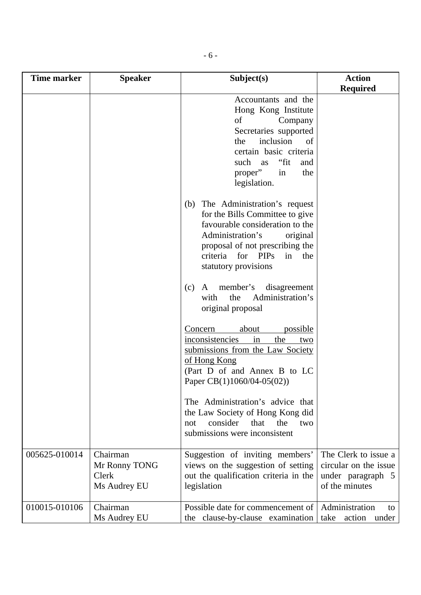| <b>Time marker</b> | <b>Speaker</b> | Subject(s)                                 | <b>Action</b>         |
|--------------------|----------------|--------------------------------------------|-----------------------|
|                    |                |                                            | <b>Required</b>       |
|                    |                | Accountants and the<br>Hong Kong Institute |                       |
|                    |                | of<br>Company                              |                       |
|                    |                | Secretaries supported                      |                       |
|                    |                | inclusion<br>the<br>of                     |                       |
|                    |                | certain basic criteria                     |                       |
|                    |                | "fit"<br>such<br>as<br>and                 |                       |
|                    |                | proper"<br>the<br>in                       |                       |
|                    |                | legislation.                               |                       |
|                    |                | (b) The Administration's request           |                       |
|                    |                | for the Bills Committee to give            |                       |
|                    |                | favourable consideration to the            |                       |
|                    |                | Administration's<br>original               |                       |
|                    |                | proposal of not prescribing the            |                       |
|                    |                | criteria for PIPs<br>in<br>the             |                       |
|                    |                | statutory provisions                       |                       |
|                    |                | member's<br>disagreement<br>(c)<br>A       |                       |
|                    |                | Administration's<br>the<br>with            |                       |
|                    |                | original proposal                          |                       |
|                    |                | possible<br>about<br>Concern               |                       |
|                    |                | inconsistencies<br>the<br>in<br>two        |                       |
|                    |                | submissions from the Law Society           |                       |
|                    |                | of Hong Kong                               |                       |
|                    |                | (Part D of and Annex B to LC               |                       |
|                    |                | Paper CB(1)1060/04-05(02))                 |                       |
|                    |                | The Administration's advice that           |                       |
|                    |                | the Law Society of Hong Kong did           |                       |
|                    |                | consider<br>that<br>the<br>two<br>not      |                       |
|                    |                | submissions were inconsistent              |                       |
| 005625-010014      | Chairman       | Suggestion of inviting members'            | The Clerk to issue a  |
|                    | Mr Ronny TONG  | views on the suggestion of setting         | circular on the issue |
|                    | Clerk          | out the qualification criteria in the      | under paragraph 5     |
|                    | Ms Audrey EU   | legislation                                | of the minutes        |
| 010015-010106      | Chairman       | Possible date for commencement of          | Administration<br>to  |
|                    | Ms Audrey EU   | the clause-by-clause examination take      | action under          |